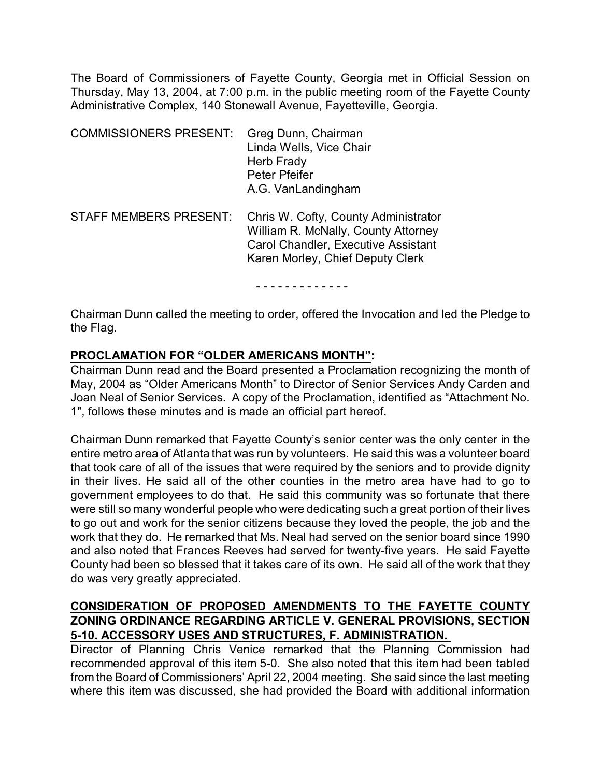The Board of Commissioners of Fayette County, Georgia met in Official Session on Thursday, May 13, 2004, at 7:00 p.m. in the public meeting room of the Fayette County Administrative Complex, 140 Stonewall Avenue, Fayetteville, Georgia.

| <b>COMMISSIONERS PRESENT:</b> | Greg Dunn, Chairman<br>Linda Wells, Vice Chair<br>Herb Frady<br>Peter Pfeifer<br>A.G. VanLandingham                                                           |
|-------------------------------|---------------------------------------------------------------------------------------------------------------------------------------------------------------|
| <b>STAFF MEMBERS PRESENT:</b> | Chris W. Cofty, County Administrator<br>William R. McNally, County Attorney<br><b>Carol Chandler, Executive Assistant</b><br>Karen Morley, Chief Deputy Clerk |

- - - - - - - - - - - - -

Chairman Dunn called the meeting to order, offered the Invocation and led the Pledge to the Flag.

### **PROCLAMATION FOR "OLDER AMERICANS MONTH":**

Chairman Dunn read and the Board presented a Proclamation recognizing the month of May, 2004 as "Older Americans Month" to Director of Senior Services Andy Carden and Joan Neal of Senior Services. A copy of the Proclamation, identified as "Attachment No. 1", follows these minutes and is made an official part hereof.

Chairman Dunn remarked that Fayette County's senior center was the only center in the entire metro area of Atlanta that was run by volunteers. He said this was a volunteer board that took care of all of the issues that were required by the seniors and to provide dignity in their lives. He said all of the other counties in the metro area have had to go to government employees to do that. He said this community was so fortunate that there were still so many wonderful people who were dedicating such a great portion of their lives to go out and work for the senior citizens because they loved the people, the job and the work that they do. He remarked that Ms. Neal had served on the senior board since 1990 and also noted that Frances Reeves had served for twenty-five years. He said Fayette County had been so blessed that it takes care of its own. He said all of the work that they do was very greatly appreciated.

## **CONSIDERATION OF PROPOSED AMENDMENTS TO THE FAYETTE COUNTY ZONING ORDINANCE REGARDING ARTICLE V. GENERAL PROVISIONS, SECTION 5-10. ACCESSORY USES AND STRUCTURES, F. ADMINISTRATION.**

Director of Planning Chris Venice remarked that the Planning Commission had recommended approval of this item 5-0. She also noted that this item had been tabled from the Board of Commissioners' April 22, 2004 meeting. She said since the last meeting where this item was discussed, she had provided the Board with additional information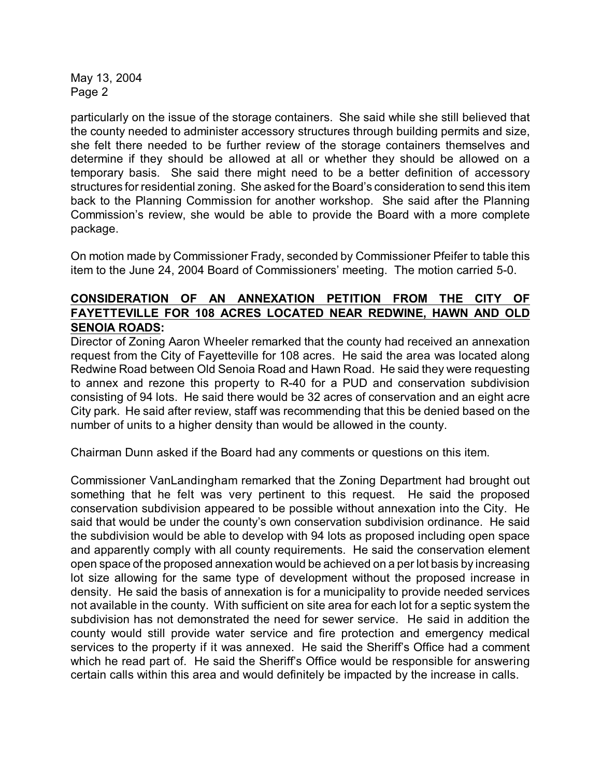particularly on the issue of the storage containers. She said while she still believed that the county needed to administer accessory structures through building permits and size, she felt there needed to be further review of the storage containers themselves and determine if they should be allowed at all or whether they should be allowed on a temporary basis. She said there might need to be a better definition of accessory structures for residential zoning. She asked for the Board's consideration to send this item back to the Planning Commission for another workshop. She said after the Planning Commission's review, she would be able to provide the Board with a more complete package.

On motion made by Commissioner Frady, seconded by Commissioner Pfeifer to table this item to the June 24, 2004 Board of Commissioners' meeting. The motion carried 5-0.

# **CONSIDERATION OF AN ANNEXATION PETITION FROM THE CITY OF FAYETTEVILLE FOR 108 ACRES LOCATED NEAR REDWINE, HAWN AND OLD SENOIA ROADS:**

Director of Zoning Aaron Wheeler remarked that the county had received an annexation request from the City of Fayetteville for 108 acres. He said the area was located along Redwine Road between Old Senoia Road and Hawn Road. He said they were requesting to annex and rezone this property to R-40 for a PUD and conservation subdivision consisting of 94 lots. He said there would be 32 acres of conservation and an eight acre City park. He said after review, staff was recommending that this be denied based on the number of units to a higher density than would be allowed in the county.

Chairman Dunn asked if the Board had any comments or questions on this item.

Commissioner VanLandingham remarked that the Zoning Department had brought out something that he felt was very pertinent to this request. He said the proposed conservation subdivision appeared to be possible without annexation into the City. He said that would be under the county's own conservation subdivision ordinance. He said the subdivision would be able to develop with 94 lots as proposed including open space and apparently comply with all county requirements. He said the conservation element open space of the proposed annexation would be achieved on a per lot basis by increasing lot size allowing for the same type of development without the proposed increase in density. He said the basis of annexation is for a municipality to provide needed services not available in the county. With sufficient on site area for each lot for a septic system the subdivision has not demonstrated the need for sewer service. He said in addition the county would still provide water service and fire protection and emergency medical services to the property if it was annexed. He said the Sheriff's Office had a comment which he read part of. He said the Sheriff's Office would be responsible for answering certain calls within this area and would definitely be impacted by the increase in calls.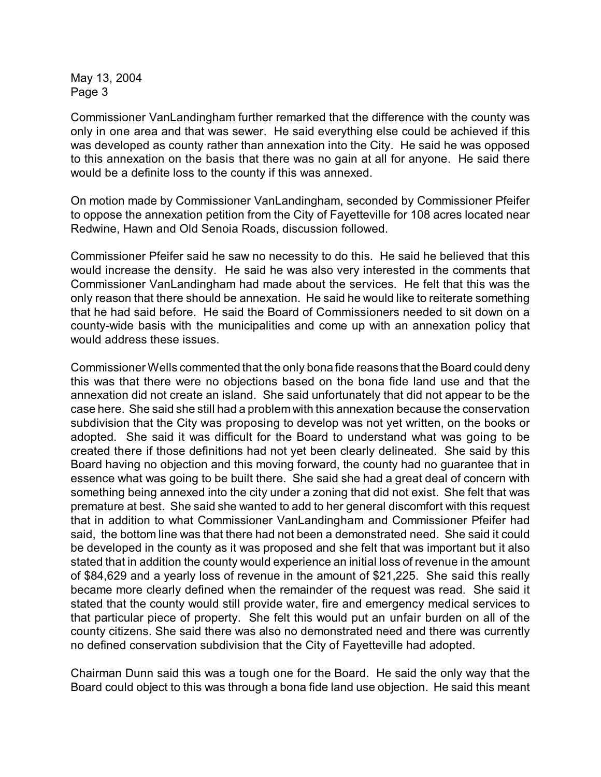Commissioner VanLandingham further remarked that the difference with the county was only in one area and that was sewer. He said everything else could be achieved if this was developed as county rather than annexation into the City. He said he was opposed to this annexation on the basis that there was no gain at all for anyone. He said there would be a definite loss to the county if this was annexed.

On motion made by Commissioner VanLandingham, seconded by Commissioner Pfeifer to oppose the annexation petition from the City of Fayetteville for 108 acres located near Redwine, Hawn and Old Senoia Roads, discussion followed.

Commissioner Pfeifer said he saw no necessity to do this. He said he believed that this would increase the density. He said he was also very interested in the comments that Commissioner VanLandingham had made about the services. He felt that this was the only reason that there should be annexation. He said he would like to reiterate something that he had said before. He said the Board of Commissioners needed to sit down on a county-wide basis with the municipalities and come up with an annexation policy that would address these issues.

Commissioner Wells commented that the only bona fide reasons that the Board could deny this was that there were no objections based on the bona fide land use and that the annexation did not create an island. She said unfortunately that did not appear to be the case here. She said she still had a problem with this annexation because the conservation subdivision that the City was proposing to develop was not yet written, on the books or adopted. She said it was difficult for the Board to understand what was going to be created there if those definitions had not yet been clearly delineated. She said by this Board having no objection and this moving forward, the county had no guarantee that in essence what was going to be built there. She said she had a great deal of concern with something being annexed into the city under a zoning that did not exist. She felt that was premature at best. She said she wanted to add to her general discomfort with this request that in addition to what Commissioner VanLandingham and Commissioner Pfeifer had said, the bottom line was that there had not been a demonstrated need. She said it could be developed in the county as it was proposed and she felt that was important but it also stated that in addition the county would experience an initial loss of revenue in the amount of \$84,629 and a yearly loss of revenue in the amount of \$21,225. She said this really became more clearly defined when the remainder of the request was read. She said it stated that the county would still provide water, fire and emergency medical services to that particular piece of property. She felt this would put an unfair burden on all of the county citizens. She said there was also no demonstrated need and there was currently no defined conservation subdivision that the City of Fayetteville had adopted.

Chairman Dunn said this was a tough one for the Board. He said the only way that the Board could object to this was through a bona fide land use objection. He said this meant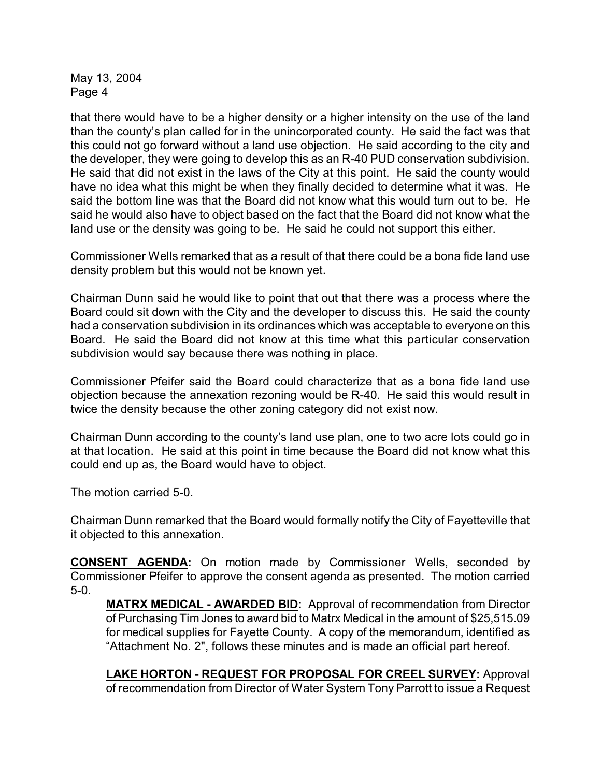that there would have to be a higher density or a higher intensity on the use of the land than the county's plan called for in the unincorporated county. He said the fact was that this could not go forward without a land use objection. He said according to the city and the developer, they were going to develop this as an R-40 PUD conservation subdivision. He said that did not exist in the laws of the City at this point. He said the county would have no idea what this might be when they finally decided to determine what it was. He said the bottom line was that the Board did not know what this would turn out to be. He said he would also have to object based on the fact that the Board did not know what the land use or the density was going to be. He said he could not support this either.

Commissioner Wells remarked that as a result of that there could be a bona fide land use density problem but this would not be known yet.

Chairman Dunn said he would like to point that out that there was a process where the Board could sit down with the City and the developer to discuss this. He said the county had a conservation subdivision in its ordinances which was acceptable to everyone on this Board. He said the Board did not know at this time what this particular conservation subdivision would say because there was nothing in place.

Commissioner Pfeifer said the Board could characterize that as a bona fide land use objection because the annexation rezoning would be R-40. He said this would result in twice the density because the other zoning category did not exist now.

Chairman Dunn according to the county's land use plan, one to two acre lots could go in at that location. He said at this point in time because the Board did not know what this could end up as, the Board would have to object.

The motion carried 5-0.

Chairman Dunn remarked that the Board would formally notify the City of Fayetteville that it objected to this annexation.

**CONSENT AGENDA:** On motion made by Commissioner Wells, seconded by Commissioner Pfeifer to approve the consent agenda as presented. The motion carried 5-0.

**MATRX MEDICAL - AWARDED BID:** Approval of recommendation from Director of Purchasing Tim Jones to award bid to Matrx Medical in the amount of \$25,515.09 for medical supplies for Fayette County. A copy of the memorandum, identified as "Attachment No. 2", follows these minutes and is made an official part hereof.

**LAKE HORTON - REQUEST FOR PROPOSAL FOR CREEL SURVEY:** Approval of recommendation from Director of Water System Tony Parrott to issue a Request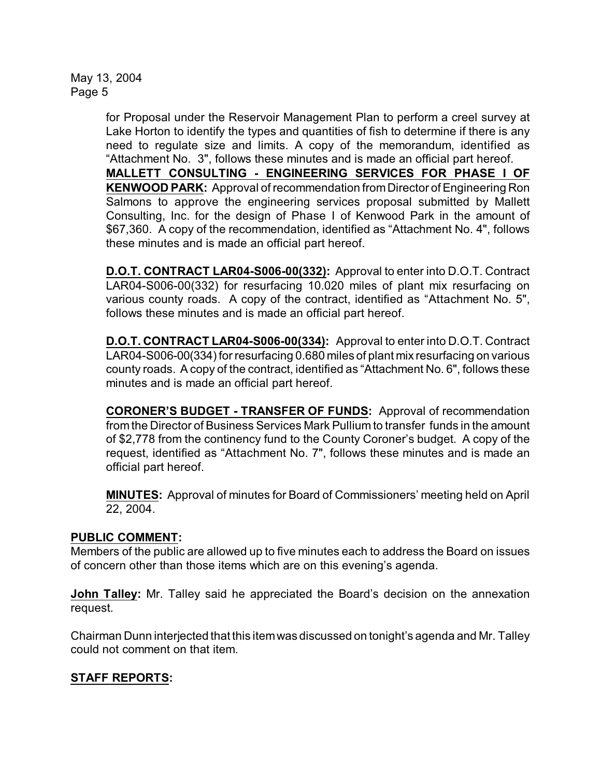> for Proposal under the Reservoir Management Plan to perform a creel survey at Lake Horton to identify the types and quantities of fish to determine if there is any need to regulate size and limits. A copy of the memorandum, identified as "Attachment No. 3", follows these minutes and is made an official part hereof. **MALLETT CONSULTING - ENGINEERING SERVICES FOR PHASE I OF KENWOOD PARK:** Approval of recommendation from Director of Engineering Ron Salmons to approve the engineering services proposal submitted by Mallett Consulting, Inc. for the design of Phase I of Kenwood Park in the amount of \$67,360. A copy of the recommendation, identified as "Attachment No. 4", follows these minutes and is made an official part hereof.

> **D.O.T. CONTRACT LAR04-S006-00(332):** Approval to enter into D.O.T. Contract LAR04-S006-00(332) for resurfacing 10.020 miles of plant mix resurfacing on various county roads. A copy of the contract, identified as "Attachment No. 5", follows these minutes and is made an official part hereof.

> **D.O.T. CONTRACT LAR04-S006-00(334):** Approval to enter into D.O.T. Contract LAR04-S006-00(334) for resurfacing 0.680 miles of plant mix resurfacing on various county roads. A copy of the contract, identified as "Attachment No. 6", follows these minutes and is made an official part hereof.

> **CORONER'S BUDGET - TRANSFER OF FUNDS:** Approval of recommendation from the Director of Business Services Mark Pullium to transfer funds in the amount of \$2,778 from the continency fund to the County Coroner's budget. A copy of the request, identified as "Attachment No. 7", follows these minutes and is made an official part hereof.

> **MINUTES:** Approval of minutes for Board of Commissioners' meeting held on April 22, 2004.

#### **PUBLIC COMMENT:**

Members of the public are allowed up to five minutes each to address the Board on issues of concern other than those items which are on this evening's agenda.

**John Talley:** Mr. Talley said he appreciated the Board's decision on the annexation request.

Chairman Dunn interjected that this itemwas discussed on tonight's agenda and Mr. Talley could not comment on that item.

# **STAFF REPORTS:**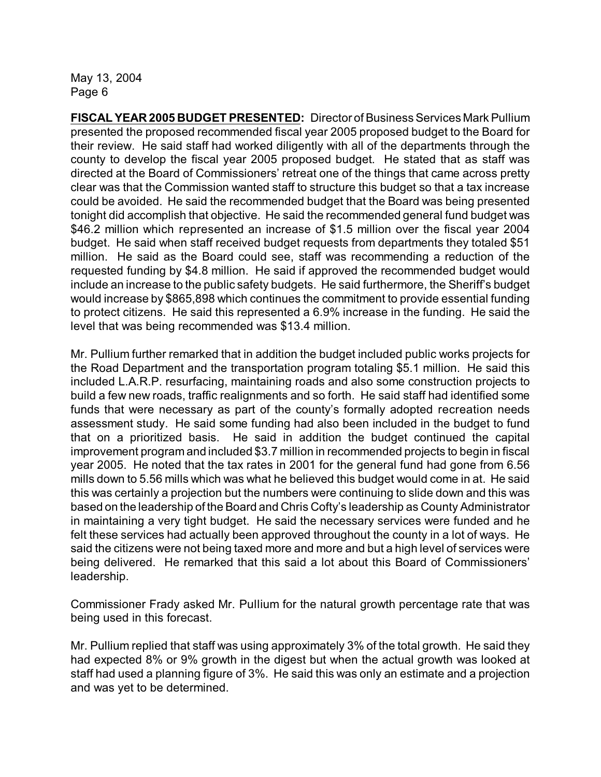**FISCAL YEAR 2005 BUDGET PRESENTED:** Director of Business Services Mark Pullium presented the proposed recommended fiscal year 2005 proposed budget to the Board for their review. He said staff had worked diligently with all of the departments through the county to develop the fiscal year 2005 proposed budget. He stated that as staff was directed at the Board of Commissioners' retreat one of the things that came across pretty clear was that the Commission wanted staff to structure this budget so that a tax increase could be avoided. He said the recommended budget that the Board was being presented tonight did accomplish that objective. He said the recommended general fund budget was \$46.2 million which represented an increase of \$1.5 million over the fiscal year 2004 budget. He said when staff received budget requests from departments they totaled \$51 million. He said as the Board could see, staff was recommending a reduction of the requested funding by \$4.8 million. He said if approved the recommended budget would include an increase to the public safety budgets. He said furthermore, the Sheriff's budget would increase by \$865,898 which continues the commitment to provide essential funding to protect citizens. He said this represented a 6.9% increase in the funding. He said the level that was being recommended was \$13.4 million.

Mr. Pullium further remarked that in addition the budget included public works projects for the Road Department and the transportation program totaling \$5.1 million. He said this included L.A.R.P. resurfacing, maintaining roads and also some construction projects to build a few new roads, traffic realignments and so forth. He said staff had identified some funds that were necessary as part of the county's formally adopted recreation needs assessment study. He said some funding had also been included in the budget to fund that on a prioritized basis. He said in addition the budget continued the capital improvement program and included \$3.7 million in recommended projects to begin in fiscal year 2005. He noted that the tax rates in 2001 for the general fund had gone from 6.56 mills down to 5.56 mills which was what he believed this budget would come in at. He said this was certainly a projection but the numbers were continuing to slide down and this was based on the leadership of the Board and Chris Cofty's leadership as County Administrator in maintaining a very tight budget. He said the necessary services were funded and he felt these services had actually been approved throughout the county in a lot of ways. He said the citizens were not being taxed more and more and but a high level of services were being delivered. He remarked that this said a lot about this Board of Commissioners' leadership.

Commissioner Frady asked Mr. Pullium for the natural growth percentage rate that was being used in this forecast.

Mr. Pullium replied that staff was using approximately 3% of the total growth. He said they had expected 8% or 9% growth in the digest but when the actual growth was looked at staff had used a planning figure of 3%. He said this was only an estimate and a projection and was yet to be determined.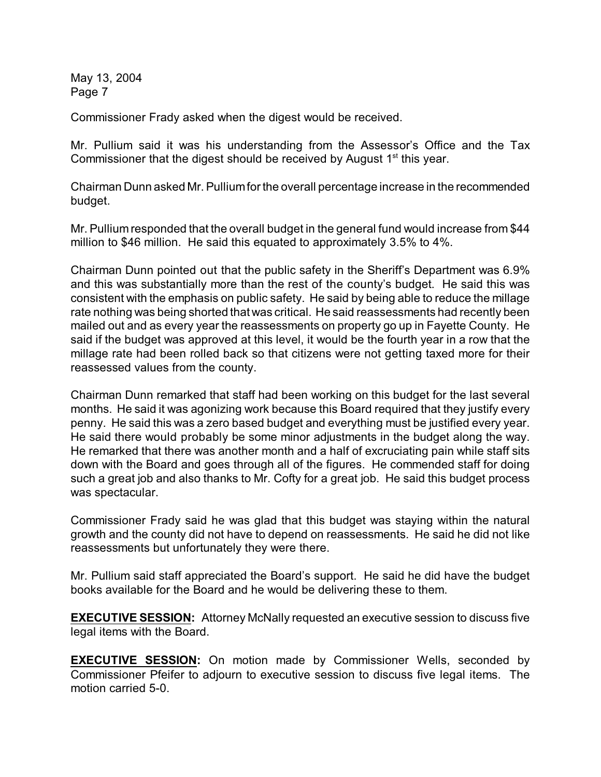Commissioner Frady asked when the digest would be received.

Mr. Pullium said it was his understanding from the Assessor's Office and the Tax Commissioner that the digest should be received by August  $1<sup>st</sup>$  this year.

Chairman Dunn asked Mr. Pullium for the overall percentage increase in the recommended budget.

Mr. Pullium responded that the overall budget in the general fund would increase from \$44 million to \$46 million. He said this equated to approximately 3.5% to 4%.

Chairman Dunn pointed out that the public safety in the Sheriff's Department was 6.9% and this was substantially more than the rest of the county's budget. He said this was consistent with the emphasis on public safety. He said by being able to reduce the millage rate nothing was being shorted that was critical. He said reassessments had recently been mailed out and as every year the reassessments on property go up in Fayette County. He said if the budget was approved at this level, it would be the fourth year in a row that the millage rate had been rolled back so that citizens were not getting taxed more for their reassessed values from the county.

Chairman Dunn remarked that staff had been working on this budget for the last several months. He said it was agonizing work because this Board required that they justify every penny. He said this was a zero based budget and everything must be justified every year. He said there would probably be some minor adjustments in the budget along the way. He remarked that there was another month and a half of excruciating pain while staff sits down with the Board and goes through all of the figures. He commended staff for doing such a great job and also thanks to Mr. Cofty for a great job. He said this budget process was spectacular.

Commissioner Frady said he was glad that this budget was staying within the natural growth and the county did not have to depend on reassessments. He said he did not like reassessments but unfortunately they were there.

Mr. Pullium said staff appreciated the Board's support. He said he did have the budget books available for the Board and he would be delivering these to them.

**EXECUTIVE SESSION:** Attorney McNally requested an executive session to discuss five legal items with the Board.

**EXECUTIVE SESSION:** On motion made by Commissioner Wells, seconded by Commissioner Pfeifer to adjourn to executive session to discuss five legal items. The motion carried 5-0.